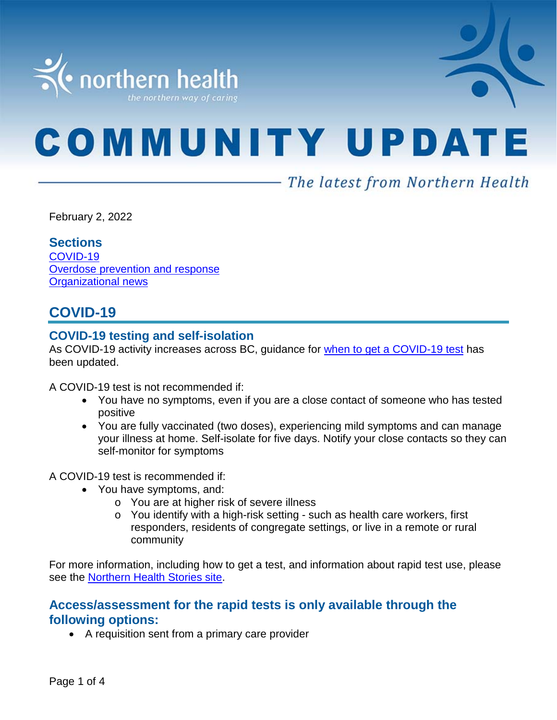

# **COMMUNITY UPDATE**

## - The latest from Northern Health

February 2, 2022

#### **Sections**

[COVID-19](#page-0-0) [Overdose prevention and response](#page-3-0) Organizational news

## <span id="page-0-0"></span>**COVID-19**

#### **COVID-19 testing and self-isolation**

As COVID-19 activity increases across BC, guidance for [when to get a COVID-19 test](https://bc.thrive.health/) has been updated.

A COVID-19 test is not recommended if:

- You have no symptoms, even if you are a close contact of someone who has tested positive
- You are fully vaccinated (two doses), experiencing mild symptoms and can manage your illness at home. Self-isolate for five days. Notify your close contacts so they can self-monitor for symptoms

A COVID-19 test is recommended if:

- You have symptoms, and:
	- o You are at higher risk of severe illness
	- o You identify with a high-risk setting such as health care workers, first responders, residents of congregate settings, or live in a remote or rural community

For more information, including how to get a test, and information about rapid test use, please see the [Northern Health Stories site.](https://stories.northernhealth.ca/news/when-get-covid-19-test-updated-guidelines)

#### **Access/assessment for the rapid tests is only available through the following options:**

• A requisition sent from a primary care provider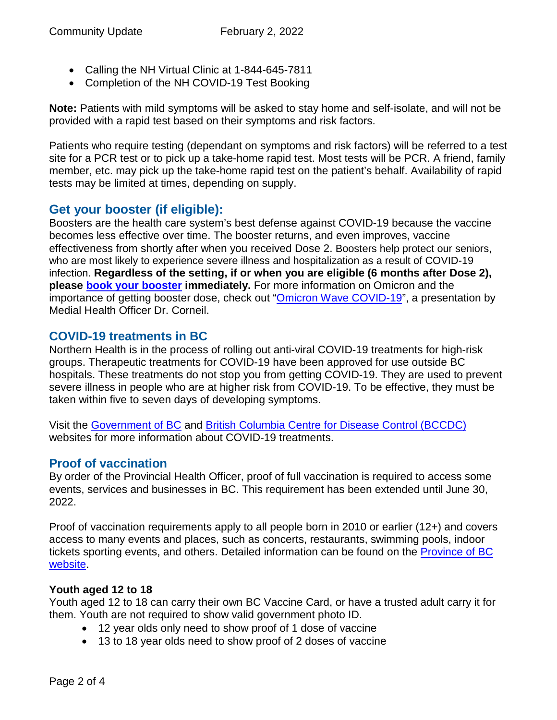- Calling the NH Virtual Clinic at 1-844-645-7811
- Completion of the NH COVID-19 Test Booking

**Note:** Patients with mild symptoms will be asked to stay home and self-isolate, and will not be provided with a rapid test based on their symptoms and risk factors.

Patients who require testing (dependant on symptoms and risk factors) will be referred to a test site for a PCR test or to pick up a take-home rapid test. Most tests will be PCR. A friend, family member, etc. may pick up the take-home rapid test on the patient's behalf. Availability of rapid tests may be limited at times, depending on supply.

#### **Get your booster (if eligible):**

Boosters are the health care system's best defense against COVID-19 because the vaccine becomes less effective over time. The booster returns, and even improves, vaccine effectiveness from shortly after when you received Dose 2. Boosters help protect our seniors, who are most likely to experience severe illness and hospitalization as a result of COVID-19 infection. **Regardless of the setting, if or when you are eligible (6 months after Dose 2), please [book your booster](https://www.getvaccinated.gov.bc.ca/s/) immediately.** For more information on Omicron and the importance of getting booster dose, check out ["Omicron Wave COVID-19"](https://youtu.be/Dm_lvD2_wEg), a presentation by Medial Health Officer Dr. Corneil.

#### **COVID-19 treatments in BC**

Northern Health is in the process of rolling out anti-viral COVID-19 treatments for high-risk groups. Therapeutic treatments for COVID-19 have been approved for use outside BC hospitals. These treatments do not stop you from getting COVID-19. They are used to prevent severe illness in people who are at higher risk from COVID-19. To be effective, they must be taken within five to seven days of developing symptoms.

Visit the [Government of BC](https://www2.gov.bc.ca/gov/content/covid-19/vaccine/treatments) and [British Columbia Centre for Disease Control \(BCCDC\)](http://www.bccdc.ca/health-info/diseases-conditions/covid-19/about-covid-19/treatments) websites for more information about COVID-19 treatments.

#### **Proof of vaccination**

By order of the Provincial Health Officer, proof of full vaccination is required to access some events, services and businesses in BC. This requirement has been extended until June 30, 2022.

Proof of vaccination requirements apply to all people born in 2010 or earlier (12+) and covers access to many events and places, such as concerts, restaurants, swimming pools, indoor tickets sporting events, and others. Detailed information can be found on the [Province of BC](https://www2.gov.bc.ca/gov/content/covid-19/vaccine/proof)  [website.](https://www2.gov.bc.ca/gov/content/covid-19/vaccine/proof)

#### **Youth aged 12 to 18**

Youth aged 12 to 18 can carry their own BC Vaccine Card, or have a trusted adult carry it for them. Youth are not required to show valid government photo ID.

- 12 year olds only need to show proof of 1 dose of vaccine
- 13 to 18 year olds need to show proof of 2 doses of vaccine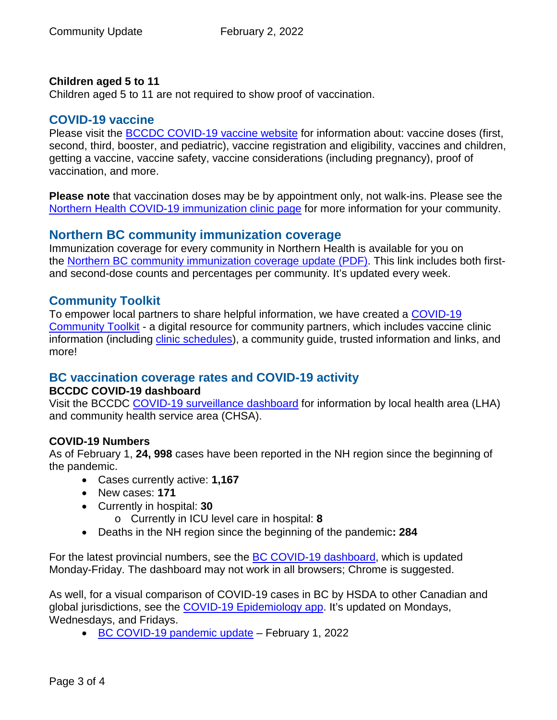#### **Children aged 5 to 11**

Children aged 5 to 11 are not required to show proof of vaccination.

#### **COVID-19 vaccine**

Please visit the **BCCDC COVID-19 vaccine website** for information about: vaccine doses (first, second, third, booster, and pediatric), vaccine registration and eligibility, vaccines and children, getting a vaccine, vaccine safety, vaccine considerations (including pregnancy), proof of vaccination, and more.

**Please note** that vaccination doses may be by appointment only, not walk-ins. Please see the [Northern Health COVID-19 immunization clinic page](https://www.northernhealth.ca/health-topics/covid-19-immunization-clinics) for more information for your community.

#### **Northern BC community immunization coverage**

Immunization coverage for every community in Northern Health is available for you on the [Northern BC community immunization coverage update](https://www.northernhealth.ca/sites/northern_health/files/health-information/health-topics/vaccine/documents/northern-bc-immunization-coverage.pdf) (PDF). This link includes both firstand second-dose counts and percentages per community. It's updated every week.

#### **Community Toolkit**

To empower local partners to share helpful information, we have created a [COVID-19](https://www.northernhealth.ca/health-topics/covid-19-vaccine-plan/covid-19-community-toolkit)  [Community Toolkit](https://www.northernhealth.ca/health-topics/covid-19-vaccine-plan/covid-19-community-toolkit) - a digital resource for community partners, which includes vaccine clinic information (including [clinic schedules\)](https://www.northernhealth.ca/health-topics/covid-19-immunization-clinics), a community guide, trusted information and links, and more!

## **BC vaccination coverage rates and COVID-19 activity**

#### **BCCDC COVID-19 dashboard**

Visit the BCCDC [COVID-19 surveillance dashboard](https://public.tableau.com/app/profile/bccdc/viz/BCCDCCOVID-19SurveillanceDashboard/Introduction) for information by local health area (LHA) and community health service area (CHSA).

#### **COVID-19 Numbers**

As of February 1, **24, 998** cases have been reported in the NH region since the beginning of the pandemic.

- Cases currently active: **1,167**
- New cases: **171**
- Currently in hospital: **30**
	- o Currently in ICU level care in hospital: **8**
- Deaths in the NH region since the beginning of the pandemic**: 284**

For the latest provincial numbers, see the [BC COVID-19 dashboard,](https://experience.arcgis.com/experience/a6f23959a8b14bfa989e3cda29297ded) which is updated Monday-Friday. The dashboard may not work in all browsers; Chrome is suggested.

As well, for a visual comparison of COVID-19 cases in BC by HSDA to other Canadian and global jurisdictions, see the [COVID-19 Epidemiology app.](https://bccdc.shinyapps.io/covid19_global_epi_app/) It's updated on Mondays, Wednesdays, and Fridays.

• [BC COVID-19 pandemic update](https://news.gov.bc.ca/releases/2022HLTH0036-000149) – February 1, 2022